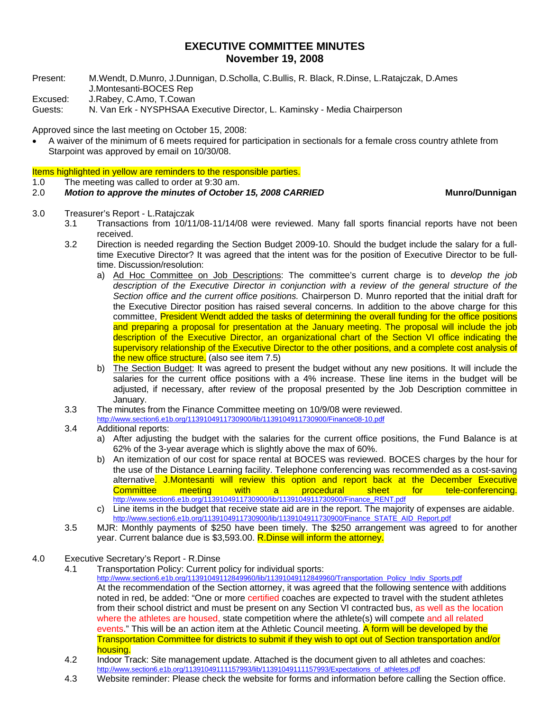## **EXECUTIVE COMMITTEE MINUTES November 19, 2008**

- Present: M.Wendt, D.Munro, J.Dunnigan, D.Scholla, C.Bullis, R. Black, R.Dinse, L.Ratajczak, D.Ames J.Montesanti-BOCES Rep
- Excused: J.Rabey, C.Amo, T.Cowan
- Guests: N. Van Erk NYSPHSAA Executive Director, L. Kaminsky Media Chairperson

Approved since the last meeting on October 15, 2008:

• A waiver of the minimum of 6 meets required for participation in sectionals for a female cross country athlete from Starpoint was approved by email on 10/30/08.

Items highlighted in yellow are reminders to the responsible parties.

1.0 The meeting was called to order at 9:30 am.

## 2.0 *Motion to approve the minutes of October 15, 2008 CARRIED* **Munro/Dunnigan**

- 3.0 Treasurer's Report L.Ratajczak
	- 3.1 Transactions from 10/11/08-11/14/08 were reviewed. Many fall sports financial reports have not been received.
	- 3.2 Direction is needed regarding the Section Budget 2009-10. Should the budget include the salary for a fulltime Executive Director? It was agreed that the intent was for the position of Executive Director to be fulltime. Discussion/resolution:
		- a) Ad Hoc Committee on Job Descriptions: The committee's current charge is to *develop the job description of the Executive Director in conjunction with a review of the general structure of the Section office and the current office positions.* Chairperson D. Munro reported that the initial draft for the Executive Director position has raised several concerns. In addition to the above charge for this committee, President Wendt added the tasks of determining the overall funding for the office positions and preparing a proposal for presentation at the January meeting. The proposal will include the job description of the Executive Director, an organizational chart of the Section VI office indicating the supervisory relationship of the Executive Director to the other positions, and a complete cost analysis of the new office structure. (also see item 7.5)
		- b) The Section Budget: It was agreed to present the budget without any new positions. It will include the salaries for the current office positions with a 4% increase. These line items in the budget will be adjusted, if necessary, after review of the proposal presented by the Job Description committee in January.
	- 3.3 The minutes from the Finance Committee meeting on 10/9/08 were reviewed.

http://www.section6.e1b.org/1139104911730900/lib/1139104911730900/Finance08-10.pdf

- 3.4 Additional reports:
	- a) After adjusting the budget with the salaries for the current office positions, the Fund Balance is at 62% of the 3-year average which is slightly above the max of 60%.
	- b) An itemization of our cost for space rental at BOCES was reviewed. BOCES charges by the hour for the use of the Distance Learning facility. Telephone conferencing was recommended as a cost-saving alternative. J.Montesanti will review this option and report back at the December Executive Committee meeting with a procedural sheet for tele-conferencing. http://www.section6.e1b.org/1139104911730900/lib/1139104911730900/Finance\_RENT.pdf
	- c) Line items in the budget that receive state aid are in the report. The majority of expenses are aidable. http://www.section6.e1b.org/1139104911730900/lib/1139104911730900/Finance\_STATE\_AID\_Report.pdf
- 3.5 MJR: Monthly payments of \$250 have been timely. The \$250 arrangement was agreed to for another year. Current balance due is \$3,593.00. R. Dinse will inform the attorney.
- 4.0 Executive Secretary's Report R.Dinse
	- 4.1 Transportation Policy: Current policy for individual sports:

http://www.section6.e1b.org/11391049112849960/lib/11391049112849960/Transportation\_Policy\_Indiv\_Sports.pdf

 At the recommendation of the Section attorney, it was agreed that the following sentence with additions noted in red, be added: "One or more certified coaches are expected to travel with the student athletes from their school district and must be present on any Section VI contracted bus, as well as the location where the athletes are housed, state competition where the athlete(s) will compete and all related events." This will be an action item at the Athletic Council meeting. A form will be developed by the Transportation Committee for districts to submit if they wish to opt out of Section transportation and/or housing.

- 4.2 Indoor Track: Site management update. Attached is the document given to all athletes and coaches: http://www.section6.e1b.org/11391049111157993/lib/11391049111157993/Expectations\_of\_athletes.pdf
- 4.3 Website reminder: Please check the website for forms and information before calling the Section office.